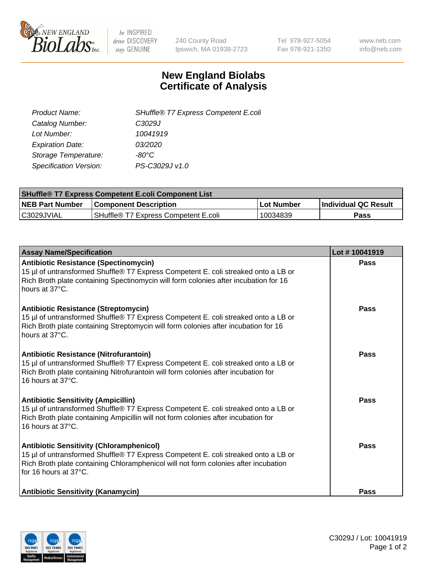

 $be$  INSPIRED drive DISCOVERY stay GENUINE

240 County Road Ipswich, MA 01938-2723 Tel 978-927-5054 Fax 978-921-1350 www.neb.com info@neb.com

## **New England Biolabs Certificate of Analysis**

| SHuffle® T7 Express Competent E.coli |
|--------------------------------------|
| C <sub>3029</sub> J                  |
| 10041919                             |
| 03/2020                              |
| -80°C.                               |
| PS-C3029J v1.0                       |
|                                      |

| <b>SHuffle<sup>®</sup> T7 Express Competent E.coli Component List</b> |                                      |            |                             |  |
|-----------------------------------------------------------------------|--------------------------------------|------------|-----------------------------|--|
| <b>NEB Part Number</b>                                                | <b>Component Description</b>         | Lot Number | <b>Individual QC Result</b> |  |
| C3029JVIAL                                                            | SHuffle® T7 Express Competent E.coli | 10034839   | Pass                        |  |

| <b>Assay Name/Specification</b>                                                                                                                                                                                                                       | Lot #10041919 |
|-------------------------------------------------------------------------------------------------------------------------------------------------------------------------------------------------------------------------------------------------------|---------------|
| <b>Antibiotic Resistance (Spectinomycin)</b><br>15 µl of untransformed Shuffle® T7 Express Competent E. coli streaked onto a LB or<br>Rich Broth plate containing Spectinomycin will form colonies after incubation for 16<br>hours at 37°C.          | <b>Pass</b>   |
| <b>Antibiotic Resistance (Streptomycin)</b><br>15 µl of untransformed Shuffle® T7 Express Competent E. coli streaked onto a LB or<br>Rich Broth plate containing Streptomycin will form colonies after incubation for 16<br>hours at 37°C.            | Pass          |
| Antibiotic Resistance (Nitrofurantoin)<br>15 µl of untransformed Shuffle® T7 Express Competent E. coli streaked onto a LB or<br>Rich Broth plate containing Nitrofurantoin will form colonies after incubation for<br>16 hours at 37°C.               | <b>Pass</b>   |
| <b>Antibiotic Sensitivity (Ampicillin)</b><br>15 µl of untransformed Shuffle® T7 Express Competent E. coli streaked onto a LB or<br>Rich Broth plate containing Ampicillin will not form colonies after incubation for<br>16 hours at 37°C.           | Pass          |
| <b>Antibiotic Sensitivity (Chloramphenicol)</b><br>15 µl of untransformed Shuffle® T7 Express Competent E. coli streaked onto a LB or<br>Rich Broth plate containing Chloramphenicol will not form colonies after incubation<br>for 16 hours at 37°C. | <b>Pass</b>   |
| <b>Antibiotic Sensitivity (Kanamycin)</b>                                                                                                                                                                                                             | <b>Pass</b>   |